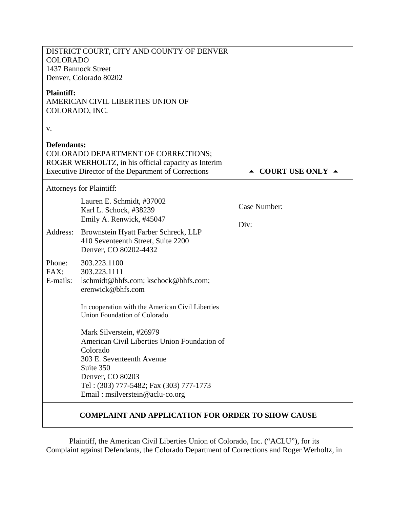| DISTRICT COURT, CITY AND COUNTY OF DENVER<br><b>COLORADO</b><br>1437 Bannock Street<br>Denver, Colorado 80202                                                                                                                    |                                        |
|----------------------------------------------------------------------------------------------------------------------------------------------------------------------------------------------------------------------------------|----------------------------------------|
| <b>Plaintiff:</b><br>AMERICAN CIVIL LIBERTIES UNION OF<br>COLORADO, INC.                                                                                                                                                         |                                        |
|                                                                                                                                                                                                                                  |                                        |
| Defendants:<br>COLORADO DEPARTMENT OF CORRECTIONS;<br>ROGER WERHOLTZ, in his official capacity as Interim<br>Executive Director of the Department of Corrections                                                                 | $\triangle$ COURT USE ONLY $\triangle$ |
| <b>Attorneys for Plaintiff:</b>                                                                                                                                                                                                  |                                        |
| Lauren E. Schmidt, #37002<br>Karl L. Schock, #38239<br>Emily A. Renwick, #45047                                                                                                                                                  | Case Number:<br>Div:                   |
| Brownstein Hyatt Farber Schreck, LLP<br>410 Seventeenth Street, Suite 2200<br>Denver, CO 80202-4432                                                                                                                              |                                        |
| 303.223.1100<br>303.223.1111<br>lschmidt@bhfs.com; kschock@bhfs.com;<br>erenwick@bhfs.com                                                                                                                                        |                                        |
| In cooperation with the American Civil Liberties<br>Union Foundation of Colorado                                                                                                                                                 |                                        |
| Mark Silverstein, #26979<br>American Civil Liberties Union Foundation of<br>Colorado<br>303 E. Seventeenth Avenue<br>Suite 350<br>Denver, CO 80203<br>Tel: (303) 777-5482; Fax (303) 777-1773<br>Email: msilverstein@aclu-co.org |                                        |
|                                                                                                                                                                                                                                  |                                        |

**COMPLAINT AND APPLICATION FOR ORDER TO SHOW CAUSE** 

Plaintiff, the American Civil Liberties Union of Colorado, Inc. ("ACLU"), for its Complaint against Defendants, the Colorado Department of Corrections and Roger Werholtz, in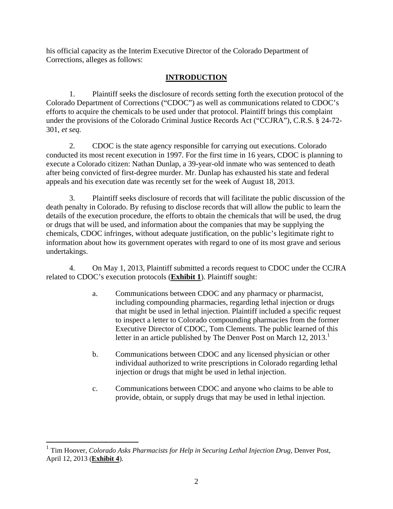his official capacity as the Interim Executive Director of the Colorado Department of Corrections, alleges as follows:

# **INTRODUCTION**

1. Plaintiff seeks the disclosure of records setting forth the execution protocol of the Colorado Department of Corrections ("CDOC") as well as communications related to CDOC's efforts to acquire the chemicals to be used under that protocol. Plaintiff brings this complaint under the provisions of the Colorado Criminal Justice Records Act ("CCJRA"), C.R.S. § 24-72- 301, *et seq.*

2. CDOC is the state agency responsible for carrying out executions. Colorado conducted its most recent execution in 1997. For the first time in 16 years, CDOC is planning to execute a Colorado citizen: Nathan Dunlap, a 39-year-old inmate who was sentenced to death after being convicted of first-degree murder. Mr. Dunlap has exhausted his state and federal appeals and his execution date was recently set for the week of August 18, 2013.

3. Plaintiff seeks disclosure of records that will facilitate the public discussion of the death penalty in Colorado. By refusing to disclose records that will allow the public to learn the details of the execution procedure, the efforts to obtain the chemicals that will be used, the drug or drugs that will be used, and information about the companies that may be supplying the chemicals, CDOC infringes, without adequate justification, on the public's legitimate right to information about how its government operates with regard to one of its most grave and serious undertakings.

4. On May 1, 2013, Plaintiff submitted a records request to CDOC under the CCJRA related to CDOC's execution protocols (**Exhibit 1**). Plaintiff sought:

- a. Communications between CDOC and any pharmacy or pharmacist, including compounding pharmacies, regarding lethal injection or drugs that might be used in lethal injection. Plaintiff included a specific request to inspect a letter to Colorado compounding pharmacies from the former Executive Director of CDOC, Tom Clements. The public learned of this letter in an article published by The Denver Post on March 12, 2013.<sup>1</sup>
- b. Communications between CDOC and any licensed physician or other individual authorized to write prescriptions in Colorado regarding lethal injection or drugs that might be used in lethal injection.
- c. Communications between CDOC and anyone who claims to be able to provide, obtain, or supply drugs that may be used in lethal injection.

 $\overline{a}$ 

<sup>1</sup> Tim Hoover, *Colorado Asks Pharmacists for Help in Securing Lethal Injection Drug*, Denver Post, April 12, 2013 (**Exhibit 4**).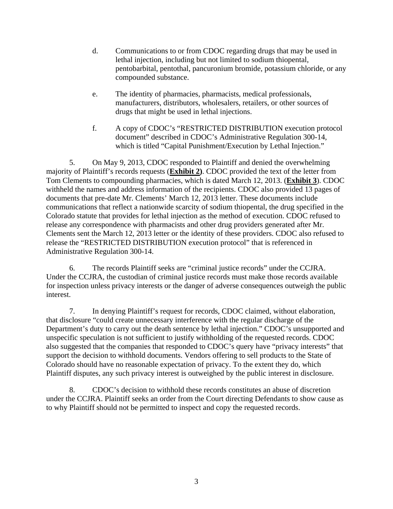- d. Communications to or from CDOC regarding drugs that may be used in lethal injection, including but not limited to sodium thiopental, pentobarbital, pentothal, pancuronium bromide, potassium chloride, or any compounded substance.
- e. The identity of pharmacies, pharmacists, medical professionals, manufacturers, distributors, wholesalers, retailers, or other sources of drugs that might be used in lethal injections.
- f. A copy of CDOC's "RESTRICTED DISTRIBUTION execution protocol document" described in CDOC's Administrative Regulation 300-14, which is titled "Capital Punishment/Execution by Lethal Injection."

5. On May 9, 2013, CDOC responded to Plaintiff and denied the overwhelming majority of Plaintiff's records requests (**Exhibit 2)**. CDOC provided the text of the letter from Tom Clements to compounding pharmacies, which is dated March 12, 2013. (**Exhibit 3**). CDOC withheld the names and address information of the recipients. CDOC also provided 13 pages of documents that pre-date Mr. Clements' March 12, 2013 letter. These documents include communications that reflect a nationwide scarcity of sodium thiopental, the drug specified in the Colorado statute that provides for lethal injection as the method of execution. CDOC refused to release any correspondence with pharmacists and other drug providers generated after Mr. Clements sent the March 12, 2013 letter or the identity of these providers. CDOC also refused to release the "RESTRICTED DISTRIBUTION execution protocol" that is referenced in Administrative Regulation 300-14.

6. The records Plaintiff seeks are "criminal justice records" under the CCJRA. Under the CCJRA, the custodian of criminal justice records must make those records available for inspection unless privacy interests or the danger of adverse consequences outweigh the public interest.

7. In denying Plaintiff's request for records, CDOC claimed, without elaboration, that disclosure "could create unnecessary interference with the regular discharge of the Department's duty to carry out the death sentence by lethal injection." CDOC's unsupported and unspecific speculation is not sufficient to justify withholding of the requested records. CDOC also suggested that the companies that responded to CDOC's query have "privacy interests" that support the decision to withhold documents. Vendors offering to sell products to the State of Colorado should have no reasonable expectation of privacy. To the extent they do, which Plaintiff disputes, any such privacy interest is outweighed by the public interest in disclosure.

8. CDOC's decision to withhold these records constitutes an abuse of discretion under the CCJRA. Plaintiff seeks an order from the Court directing Defendants to show cause as to why Plaintiff should not be permitted to inspect and copy the requested records.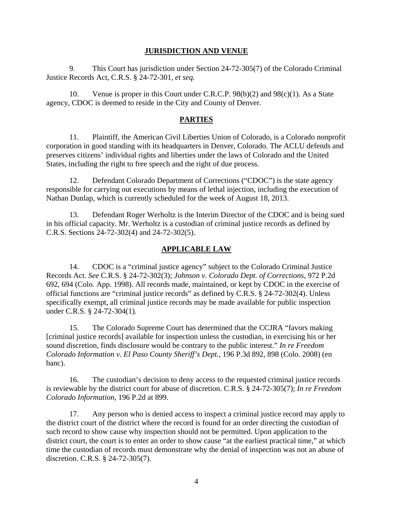### **JURISDICTION AND VENUE**

9. This Court has jurisdiction under Section 24-72-305(7) of the Colorado Criminal Justice Records Act, C.R.S. § 24-72-301, *et seq.*

10. Venue is proper in this Court under C.R.C.P. 98(b)(2) and 98(c)(1). As a State agency, CDOC is deemed to reside in the City and County of Denver.

## **PARTIES**

11. Plaintiff, the American Civil Liberties Union of Colorado, is a Colorado nonprofit corporation in good standing with its headquarters in Denver, Colorado. The ACLU defends and preserves citizens' individual rights and liberties under the laws of Colorado and the United States, including the right to free speech and the right of due process.

12. Defendant Colorado Department of Corrections ("CDOC") is the state agency responsible for carrying out executions by means of lethal injection, including the execution of Nathan Dunlap, which is currently scheduled for the week of August 18, 2013.

13. Defendant Roger Werholtz is the Interim Director of the CDOC and is being sued in his official capacity. Mr. Werholtz is a custodian of criminal justice records as defined by C.R.S. Sections 24-72-302(4) and 24-72-302(5).

## **APPLICABLE LAW**

14. CDOC is a "criminal justice agency" subject to the Colorado Criminal Justice Records Act. *See* C.R.S. § 24-72-302(3); *Johnson v. Colorado Dept. of Corrections*, 972 P.2d 692, 694 (Colo. App. 1998). All records made, maintained, or kept by CDOC in the exercise of official functions are "criminal justice records" as defined by C.R.S. § 24-72-302(4). Unless specifically exempt, all criminal justice records may be made available for public inspection under C.R.S. § 24-72-304(1).

15. The Colorado Supreme Court has determined that the CCJRA "favors making [criminal justice records] available for inspection unless the custodian, in exercising his or her sound discretion, finds disclosure would be contrary to the public interest." *In re Freedom Colorado Information v. El Paso County Sheriff's Dept.*, 196 P.3d 892, 898 (Colo. 2008) (en banc).

16. The custodian's decision to deny access to the requested criminal justice records is reviewable by the district court for abuse of discretion. C.R.S. § 24-72-305(7); *In re Freedom Colorado Information*, 196 P.2d at 899.

17. Any person who is denied access to inspect a criminal justice record may apply to the district court of the district where the record is found for an order directing the custodian of such record to show cause why inspection should not be permitted. Upon application to the district court, the court is to enter an order to show cause "at the earliest practical time," at which time the custodian of records must demonstrate why the denial of inspection was not an abuse of discretion. C.R.S. § 24-72-305(7).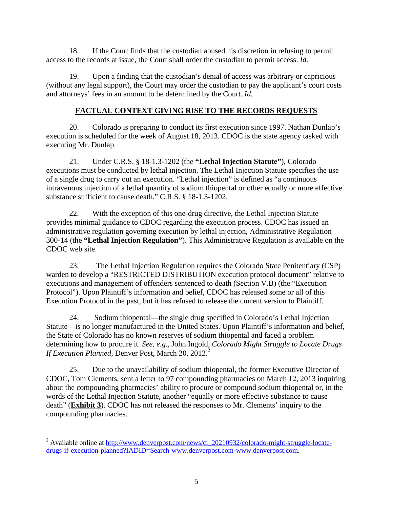18. If the Court finds that the custodian abused his discretion in refusing to permit access to the records at issue, the Court shall order the custodian to permit access. *Id.* 

19. Upon a finding that the custodian's denial of access was arbitrary or capricious (without any legal support), the Court may order the custodian to pay the applicant's court costs and attorneys' fees in an amount to be determined by the Court. *Id.* 

## **FACTUAL CONTEXT GIVING RISE TO THE RECORDS REQUESTS**

20. Colorado is preparing to conduct its first execution since 1997. Nathan Dunlap's execution is scheduled for the week of August 18, 2013. CDOC is the state agency tasked with executing Mr. Dunlap.

21. Under C.R.S. § 18-1.3-1202 (the **"Lethal Injection Statute"**), Colorado executions must be conducted by lethal injection. The Lethal Injection Statute specifies the use of a single drug to carry out an execution. "Lethal injection" is defined as "a continuous intravenous injection of a lethal quantity of sodium thiopental or other equally or more effective substance sufficient to cause death." C.R.S. § 18-1.3-1202.

22. With the exception of this one-drug directive, the Lethal Injection Statute provides minimal guidance to CDOC regarding the execution process. CDOC has issued an administrative regulation governing execution by lethal injection, Administrative Regulation 300-14 (the **"Lethal Injection Regulation"**). This Administrative Regulation is available on the CDOC web site.

23. The Lethal Injection Regulation requires the Colorado State Penitentiary (CSP) warden to develop a "RESTRICTED DISTRIBUTION execution protocol document" relative to executions and management of offenders sentenced to death (Section V.B) (the "Execution Protocol"). Upon Plaintiff's information and belief, CDOC has released some or all of this Execution Protocol in the past, but it has refused to release the current version to Plaintiff.

24. Sodium thiopental—the single drug specified in Colorado's Lethal Injection Statute—is no longer manufactured in the United States. Upon Plaintiff's information and belief, the State of Colorado has no known reserves of sodium thiopental and faced a problem determining how to procure it. *See*, *e.g.*, John Ingold, *Colorado Might Struggle to Locate Drugs If Execution Planned*, Denver Post, March 20, 2012.<sup>2</sup>

25. Due to the unavailability of sodium thiopental, the former Executive Director of CDOC, Tom Clements, sent a letter to 97 compounding pharmacies on March 12, 2013 inquiring about the compounding pharmacies' ability to procure or compound sodium thiopental or, in the words of the Lethal Injection Statute, another "equally or more effective substance to cause death" (**Exhibit 3**). CDOC has not released the responses to Mr. Clements' inquiry to the compounding pharmacies.

 $\overline{a}$ 

<sup>&</sup>lt;sup>2</sup> Available online at http://www.denverpost.com/news/ci\_20210932/colorado-might-struggle-locatedrugs-if-execution-planned?IADID=Search-www.denverpost.com-www.denverpost.com.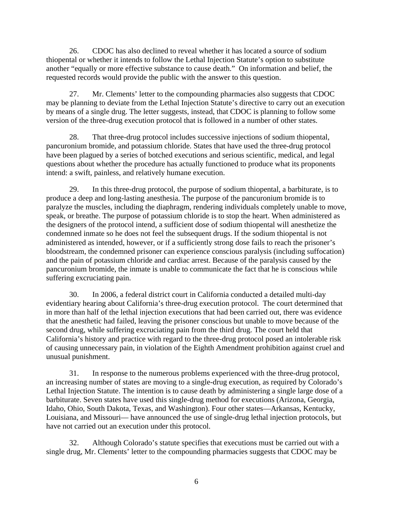26. CDOC has also declined to reveal whether it has located a source of sodium thiopental or whether it intends to follow the Lethal Injection Statute's option to substitute another "equally or more effective substance to cause death." On information and belief, the requested records would provide the public with the answer to this question.

27. Mr. Clements' letter to the compounding pharmacies also suggests that CDOC may be planning to deviate from the Lethal Injection Statute's directive to carry out an execution by means of a single drug. The letter suggests, instead, that CDOC is planning to follow some version of the three-drug execution protocol that is followed in a number of other states.

28. That three-drug protocol includes successive injections of sodium thiopental, pancuronium bromide, and potassium chloride. States that have used the three-drug protocol have been plagued by a series of botched executions and serious scientific, medical, and legal questions about whether the procedure has actually functioned to produce what its proponents intend: a swift, painless, and relatively humane execution.

29. In this three-drug protocol, the purpose of sodium thiopental, a barbiturate, is to produce a deep and long-lasting anesthesia. The purpose of the pancuronium bromide is to paralyze the muscles, including the diaphragm, rendering individuals completely unable to move, speak, or breathe. The purpose of potassium chloride is to stop the heart. When administered as the designers of the protocol intend, a sufficient dose of sodium thiopental will anesthetize the condemned inmate so he does not feel the subsequent drugs. If the sodium thiopental is not administered as intended, however, or if a sufficiently strong dose fails to reach the prisoner's bloodstream, the condemned prisoner can experience conscious paralysis (including suffocation) and the pain of potassium chloride and cardiac arrest. Because of the paralysis caused by the pancuronium bromide, the inmate is unable to communicate the fact that he is conscious while suffering excruciating pain.

30. In 2006, a federal district court in California conducted a detailed multi-day evidentiary hearing about California's three-drug execution protocol. The court determined that in more than half of the lethal injection executions that had been carried out, there was evidence that the anesthetic had failed, leaving the prisoner conscious but unable to move because of the second drug, while suffering excruciating pain from the third drug. The court held that California's history and practice with regard to the three-drug protocol posed an intolerable risk of causing unnecessary pain, in violation of the Eighth Amendment prohibition against cruel and unusual punishment.

31. In response to the numerous problems experienced with the three-drug protocol, an increasing number of states are moving to a single-drug execution, as required by Colorado's Lethal Injection Statute. The intention is to cause death by administering a single large dose of a barbiturate. Seven states have used this single-drug method for executions (Arizona, Georgia, Idaho, Ohio, South Dakota, Texas, and Washington). Four other states—Arkansas, Kentucky, Louisiana, and Missouri— have announced the use of single-drug lethal injection protocols, but have not carried out an execution under this protocol.

32. Although Colorado's statute specifies that executions must be carried out with a single drug, Mr. Clements' letter to the compounding pharmacies suggests that CDOC may be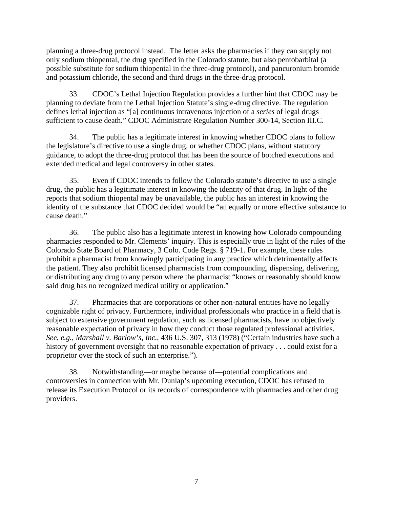planning a three-drug protocol instead. The letter asks the pharmacies if they can supply not only sodium thiopental, the drug specified in the Colorado statute, but also pentobarbital (a possible substitute for sodium thiopental in the three-drug protocol), and pancuronium bromide and potassium chloride, the second and third drugs in the three-drug protocol.

33. CDOC's Lethal Injection Regulation provides a further hint that CDOC may be planning to deviate from the Lethal Injection Statute's single-drug directive. The regulation defines lethal injection as "[a] continuous intravenous injection of a *series* of legal drugs sufficient to cause death." CDOC Administrate Regulation Number 300-14, Section III.C.

34. The public has a legitimate interest in knowing whether CDOC plans to follow the legislature's directive to use a single drug, or whether CDOC plans, without statutory guidance, to adopt the three-drug protocol that has been the source of botched executions and extended medical and legal controversy in other states.

35. Even if CDOC intends to follow the Colorado statute's directive to use a single drug, the public has a legitimate interest in knowing the identity of that drug. In light of the reports that sodium thiopental may be unavailable, the public has an interest in knowing the identity of the substance that CDOC decided would be "an equally or more effective substance to cause death."

36. The public also has a legitimate interest in knowing how Colorado compounding pharmacies responded to Mr. Clements' inquiry. This is especially true in light of the rules of the Colorado State Board of Pharmacy, 3 Colo. Code Regs. § 719-1. For example, these rules prohibit a pharmacist from knowingly participating in any practice which detrimentally affects the patient. They also prohibit licensed pharmacists from compounding, dispensing, delivering, or distributing any drug to any person where the pharmacist "knows or reasonably should know said drug has no recognized medical utility or application."

37. Pharmacies that are corporations or other non-natural entities have no legally cognizable right of privacy. Furthermore, individual professionals who practice in a field that is subject to extensive government regulation, such as licensed pharmacists, have no objectively reasonable expectation of privacy in how they conduct those regulated professional activities. *See*, *e.g.*, *Marshall v. Barlow's, Inc.*, 436 U.S. 307, 313 (1978) ("Certain industries have such a history of government oversight that no reasonable expectation of privacy . . . could exist for a proprietor over the stock of such an enterprise.").

38. Notwithstanding—or maybe because of—potential complications and controversies in connection with Mr. Dunlap's upcoming execution, CDOC has refused to release its Execution Protocol or its records of correspondence with pharmacies and other drug providers.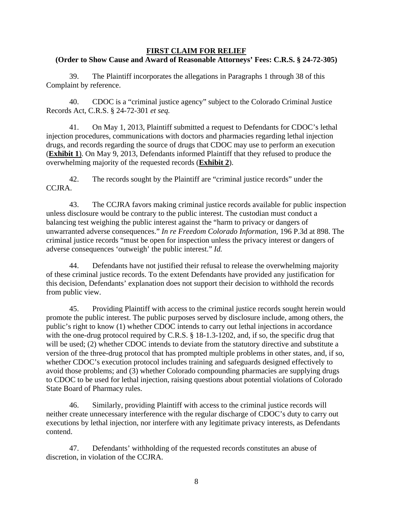#### **FIRST CLAIM FOR RELIEF (Order to Show Cause and Award of Reasonable Attorneys' Fees: C.R.S. § 24-72-305)**

39. The Plaintiff incorporates the allegations in Paragraphs 1 through 38 of this Complaint by reference.

40. CDOC is a "criminal justice agency" subject to the Colorado Criminal Justice Records Act, C.R.S. § 24-72-301 *et seq.*

41. On May 1, 2013, Plaintiff submitted a request to Defendants for CDOC's lethal injection procedures, communications with doctors and pharmacies regarding lethal injection drugs, and records regarding the source of drugs that CDOC may use to perform an execution (**Exhibit 1**). On May 9, 2013, Defendants informed Plaintiff that they refused to produce the overwhelming majority of the requested records (**Exhibit 2**).

42. The records sought by the Plaintiff are "criminal justice records" under the CCJRA.

43. The CCJRA favors making criminal justice records available for public inspection unless disclosure would be contrary to the public interest. The custodian must conduct a balancing test weighing the public interest against the "harm to privacy or dangers of unwarranted adverse consequences." *In re Freedom Colorado Information*, 196 P.3d at 898. The criminal justice records "must be open for inspection unless the privacy interest or dangers of adverse consequences 'outweigh' the public interest." *Id.*

44. Defendants have not justified their refusal to release the overwhelming majority of these criminal justice records. To the extent Defendants have provided any justification for this decision, Defendants' explanation does not support their decision to withhold the records from public view.

45. Providing Plaintiff with access to the criminal justice records sought herein would promote the public interest. The public purposes served by disclosure include, among others, the public's right to know (1) whether CDOC intends to carry out lethal injections in accordance with the one-drug protocol required by C.R.S. § 18-1.3-1202, and, if so, the specific drug that will be used; (2) whether CDOC intends to deviate from the statutory directive and substitute a version of the three-drug protocol that has prompted multiple problems in other states, and, if so, whether CDOC's execution protocol includes training and safeguards designed effectively to avoid those problems; and (3) whether Colorado compounding pharmacies are supplying drugs to CDOC to be used for lethal injection, raising questions about potential violations of Colorado State Board of Pharmacy rules.

46. Similarly, providing Plaintiff with access to the criminal justice records will neither create unnecessary interference with the regular discharge of CDOC's duty to carry out executions by lethal injection, nor interfere with any legitimate privacy interests, as Defendants contend.

47. Defendants' withholding of the requested records constitutes an abuse of discretion, in violation of the CCJRA.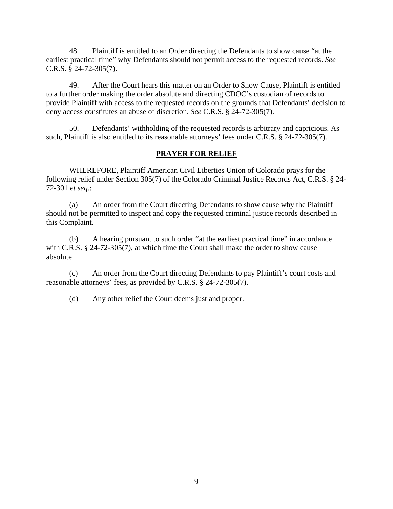48. Plaintiff is entitled to an Order directing the Defendants to show cause "at the earliest practical time" why Defendants should not permit access to the requested records. *See* C.R.S. § 24-72-305(7).

49. After the Court hears this matter on an Order to Show Cause, Plaintiff is entitled to a further order making the order absolute and directing CDOC's custodian of records to provide Plaintiff with access to the requested records on the grounds that Defendants' decision to deny access constitutes an abuse of discretion. *See* C.R.S. § 24-72-305(7).

50. Defendants' withholding of the requested records is arbitrary and capricious. As such, Plaintiff is also entitled to its reasonable attorneys' fees under C.R.S. § 24-72-305(7).

## **PRAYER FOR RELIEF**

WHEREFORE, Plaintiff American Civil Liberties Union of Colorado prays for the following relief under Section 305(7) of the Colorado Criminal Justice Records Act, C.R.S. § 24- 72-301 *et seq.*:

(a) An order from the Court directing Defendants to show cause why the Plaintiff should not be permitted to inspect and copy the requested criminal justice records described in this Complaint.

(b) A hearing pursuant to such order "at the earliest practical time" in accordance with C.R.S. § 24-72-305(7), at which time the Court shall make the order to show cause absolute.

(c) An order from the Court directing Defendants to pay Plaintiff's court costs and reasonable attorneys' fees, as provided by C.R.S. § 24-72-305(7).

(d) Any other relief the Court deems just and proper.